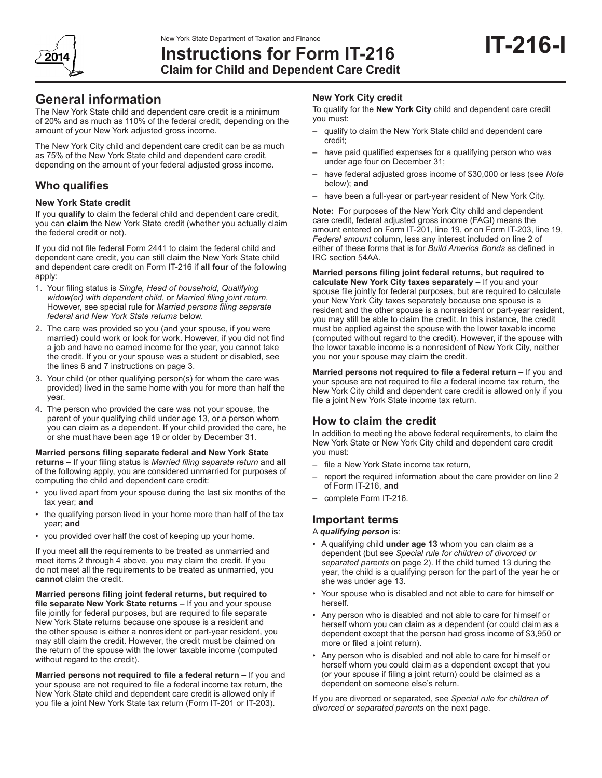

# **Instructions for Form IT-216 Claim for Child and Dependent Care Credit**

# **General information**

The New York State child and dependent care credit is a minimum of 20% and as much as 110% of the federal credit, depending on the amount of your New York adjusted gross income.

The New York City child and dependent care credit can be as much as 75% of the New York State child and dependent care credit, depending on the amount of your federal adjusted gross income.

# **Who qualifies**

### **New York State credit**

If you **qualify** to claim the federal child and dependent care credit, you can **claim** the New York State credit (whether you actually claim the federal credit or not).

If you did not file federal Form 2441 to claim the federal child and dependent care credit, you can still claim the New York State child and dependent care credit on Form IT-216 if **all four** of the following apply:

- 1. Your filing status is *Single, Head of household, Qualifying widow(er) with dependent child*, or *Married filing joint return.*  However, see special rule for *Married persons filing separate federal and New York State returns* below.
- 2. The care was provided so you (and your spouse, if you were married) could work or look for work. However, if you did not find a job and have no earned income for the year, you cannot take the credit. If you or your spouse was a student or disabled, see the lines 6 and 7 instructions on page 3.
- 3. Your child (or other qualifying person(s) for whom the care was provided) lived in the same home with you for more than half the year.
- 4. The person who provided the care was not your spouse, the parent of your qualifying child under age 13, or a person whom you can claim as a dependent. If your child provided the care, he or she must have been age 19 or older by December 31.

#### **Married persons filing separate federal and New York State returns –** If your filing status is *Married filing separate return* and **all** of the following apply, you are considered unmarried for purposes of computing the child and dependent care credit:

- you lived apart from your spouse during the last six months of the tax year; **and**
- the qualifying person lived in your home more than half of the tax year; **and**
- you provided over half the cost of keeping up your home.

If you meet **all** the requirements to be treated as unmarried and meet items 2 through 4 above, you may claim the credit. If you do not meet all the requirements to be treated as unmarried, you **cannot** claim the credit.

**Married persons filing joint federal returns, but required to file separate New York State returns –** If you and your spouse file jointly for federal purposes, but are required to file separate New York State returns because one spouse is a resident and the other spouse is either a nonresident or part-year resident, you may still claim the credit. However, the credit must be claimed on the return of the spouse with the lower taxable income (computed without regard to the credit).

**Married persons not required to file a federal return –** If you and your spouse are not required to file a federal income tax return, the New York State child and dependent care credit is allowed only if you file a joint New York State tax return (Form IT‑201 or IT‑203).

## **New York City credit**

To qualify for the **New York City** child and dependent care credit you must:

- qualify to claim the New York State child and dependent care credit;
- have paid qualified expenses for a qualifying person who was under age four on December 31;
- have federal adjusted gross income of \$30,000 or less (see *Note* below); **and**
- have been a full-year or part-year resident of New York City.

**Note:** For purposes of the New York City child and dependent care credit, federal adjusted gross income (FAGI) means the amount entered on Form IT-201, line 19, or on Form IT-203, line 19, *Federal amount* column, less any interest included on line 2 of either of these forms that is for *Build America Bonds* as defined in IRC section 54AA.

**Married persons filing joint federal returns, but required to calculate New York City taxes separately –** If you and your spouse file jointly for federal purposes, but are required to calculate your New York City taxes separately because one spouse is a resident and the other spouse is a nonresident or part-year resident, you may still be able to claim the credit. In this instance, the credit must be applied against the spouse with the lower taxable income (computed without regard to the credit). However, if the spouse with the lower taxable income is a nonresident of New York City, neither you nor your spouse may claim the credit.

**Married persons not required to file a federal return –** If you and your spouse are not required to file a federal income tax return, the New York City child and dependent care credit is allowed only if you file a joint New York State income tax return.

# **How to claim the credit**

In addition to meeting the above federal requirements, to claim the New York State or New York City child and dependent care credit you must:

- file a New York State income tax return,
- report the required information about the care provider on line 2 of Form IT-216, **and**
- complete Form IT-216.

## **Important terms**

#### A *qualifying person* is:

- A qualifying child **under age 13** whom you can claim as a dependent (but see *Special rule for children of divorced or separated parents* on page 2). If the child turned 13 during the year, the child is a qualifying person for the part of the year he or she was under age 13.
- Your spouse who is disabled and not able to care for himself or herself.
- Any person who is disabled and not able to care for himself or herself whom you can claim as a dependent (or could claim as a dependent except that the person had gross income of \$3,950 or more or filed a joint return).
- Any person who is disabled and not able to care for himself or herself whom you could claim as a dependent except that you (or your spouse if filing a joint return) could be claimed as a dependent on someone else's return.

If you are divorced or separated, see *Special rule for children of divorced or separated parents* on the next page.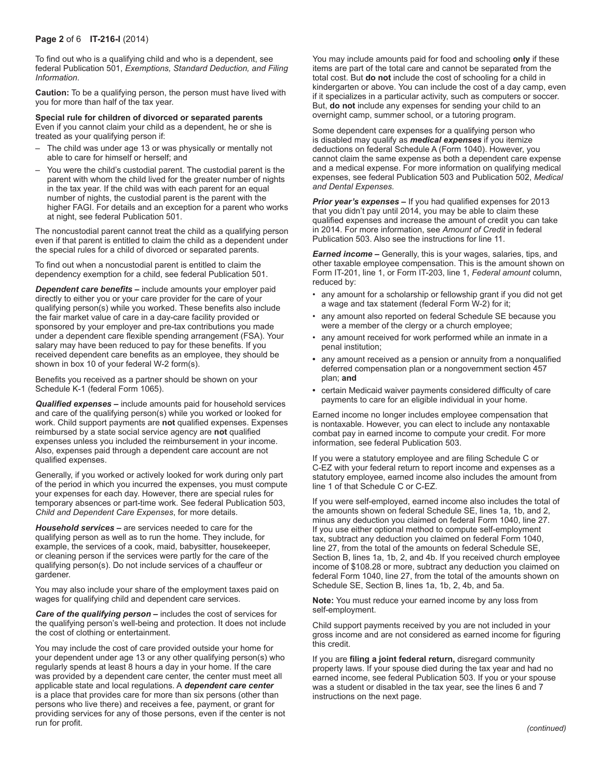#### **Page 2** of 6 **IT-216-I** (2014)

To find out who is a qualifying child and who is a dependent, see federal Publication 501, *Exemptions, Standard Deduction, and Filing Information*.

**Caution:** To be a qualifying person, the person must have lived with you for more than half of the tax year.

**Special rule for children of divorced or separated parents**  Even if you cannot claim your child as a dependent, he or she is treated as your qualifying person if:

- The child was under age 13 or was physically or mentally not able to care for himself or herself; and
- You were the child's custodial parent. The custodial parent is the parent with whom the child lived for the greater number of nights in the tax year. If the child was with each parent for an equal number of nights, the custodial parent is the parent with the higher FAGI. For details and an exception for a parent who works at night, see federal Publication 501.

The noncustodial parent cannot treat the child as a qualifying person even if that parent is entitled to claim the child as a dependent under the special rules for a child of divorced or separated parents.

To find out when a noncustodial parent is entitled to claim the dependency exemption for a child, see federal Publication 501.

*Dependent care benefits* **–** include amounts your employer paid directly to either you or your care provider for the care of your qualifying person(s) while you worked. These benefits also include the fair market value of care in a day‑care facility provided or sponsored by your employer and pre-tax contributions you made under a dependent care flexible spending arrangement (FSA). Your salary may have been reduced to pay for these benefits. If you received dependent care benefits as an employee, they should be shown in box 10 of your federal W-2 form(s).

Benefits you received as a partner should be shown on your Schedule K-1 (federal Form 1065).

*Qualified expenses* **–** include amounts paid for household services and care of the qualifying person(s) while you worked or looked for work. Child support payments are **not** qualified expenses. Expenses reimbursed by a state social service agency are **not** qualified expenses unless you included the reimbursement in your income. Also, expenses paid through a dependent care account are not qualified expenses.

Generally, if you worked or actively looked for work during only part of the period in which you incurred the expenses, you must compute your expenses for each day. However, there are special rules for temporary absences or part-time work. See federal Publication 503, *Child and Dependent Care Expenses*, for more details.

*Household services* **–** are services needed to care for the qualifying person as well as to run the home. They include, for example, the services of a cook, maid, babysitter, housekeeper, or cleaning person if the services were partly for the care of the qualifying person(s). Do not include services of a chauffeur or gardener.

You may also include your share of the employment taxes paid on wages for qualifying child and dependent care services.

**Care of the qualifying person -** includes the cost of services for the qualifying person's well-being and protection. It does not include the cost of clothing or entertainment.

You may include the cost of care provided outside your home for your dependent under age 13 or any other qualifying person(s) who regularly spends at least 8 hours a day in your home. If the care was provided by a dependent care center, the center must meet all applicable state and local regulations. A *dependent care center* is a place that provides care for more than six persons (other than persons who live there) and receives a fee, payment, or grant for providing services for any of those persons, even if the center is not run for profit.

You may include amounts paid for food and schooling **only** if these items are part of the total care and cannot be separated from the total cost. But **do not** include the cost of schooling for a child in kindergarten or above. You can include the cost of a day camp, even if it specializes in a particular activity, such as computers or soccer. But, **do not** include any expenses for sending your child to an overnight camp, summer school, or a tutoring program.

Some dependent care expenses for a qualifying person who is disabled may qualify as *medical expenses* if you itemize deductions on federal Schedule A (Form 1040). However, you cannot claim the same expense as both a dependent care expense and a medical expense. For more information on qualifying medical expenses, see federal Publication 503 and Publication 502, *Medical and Dental Expenses.*

*Prior year's expenses* **–** If you had qualified expenses for 2013 that you didn't pay until 2014, you may be able to claim these qualified expenses and increase the amount of credit you can take in 2014. For more information, see *Amount of Credit* in federal Publication 503. Also see the instructions for line 11.

*Earned income* **–** Generally, this is your wages, salaries, tips, and other taxable employee compensation. This is the amount shown on Form IT-201, line 1, or Form IT-203, line 1, *Federal amount* column, reduced by:

- any amount for a scholarship or fellowship grant if you did not get a wage and tax statement (federal Form W-2) for it;
- any amount also reported on federal Schedule SE because you were a member of the clergy or a church employee;
- any amount received for work performed while an inmate in a penal institution;
- **•** any amount received as a pension or annuity from a nonqualified deferred compensation plan or a nongovernment section 457 plan; **and**
- **•** certain Medicaid waiver payments considered difficulty of care payments to care for an eligible individual in your home.

Earned income no longer includes employee compensation that is nontaxable. However, you can elect to include any nontaxable combat pay in earned income to compute your credit. For more information, see federal Publication 503.

If you were a statutory employee and are filing Schedule C or C-EZ with your federal return to report income and expenses as a statutory employee, earned income also includes the amount from line 1 of that Schedule C or C‑EZ.

If you were self-employed, earned income also includes the total of the amounts shown on federal Schedule SE, lines 1a, 1b, and 2, minus any deduction you claimed on federal Form 1040, line 27. If you use either optional method to compute self-employment tax, subtract any deduction you claimed on federal Form 1040, line 27, from the total of the amounts on federal Schedule SE, Section B, lines 1a, 1b, 2, and 4b. If you received church employee income of \$108.28 or more, subtract any deduction you claimed on federal Form 1040, line 27, from the total of the amounts shown on Schedule SE, Section B, lines 1a, 1b, 2, 4b, and 5a.

**Note:** You must reduce your earned income by any loss from self-employment.

Child support payments received by you are not included in your gross income and are not considered as earned income for figuring this credit.

If you are **filing a joint federal return,** disregard community property laws. If your spouse died during the tax year and had no earned income, see federal Publication 503. If you or your spouse was a student or disabled in the tax year, see the lines 6 and 7 instructions on the next page.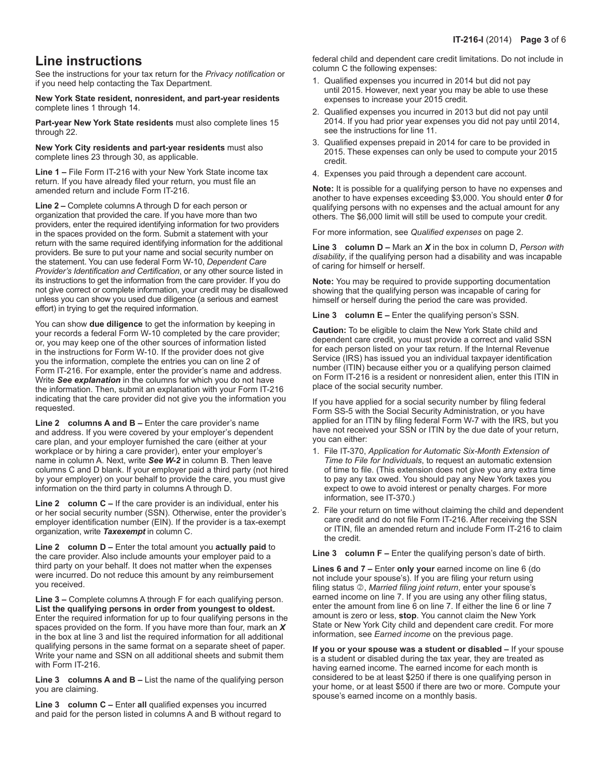# **Line instructions**

See the instructions for your tax return for the *Privacy notification* or if you need help contacting the Tax Department.

**New York State resident, nonresident, and part-year residents** complete lines 1 through 14.

**Part-year New York State residents** must also complete lines 15 through 22.

**New York City residents and part-year residents** must also complete lines 23 through 30, as applicable.

**Line 1 –** File Form IT-216 with your New York State income tax return. If you have already filed your return, you must file an amended return and include Form IT-216.

**Line 2 –** Complete columns A through D for each person or organization that provided the care. If you have more than two providers, enter the required identifying information for two providers in the spaces provided on the form. Submit a statement with your return with the same required identifying information for the additional providers. Be sure to put your name and social security number on the statement. You can use federal Form W-10, *Dependent Care Provider's Identification and Certification*, or any other source listed in its instructions to get the information from the care provider. If you do not give correct or complete information, your credit may be disallowed unless you can show you used due diligence (a serious and earnest effort) in trying to get the required information.

You can show **due diligence** to get the information by keeping in your records a federal Form W-10 completed by the care provider; or, you may keep one of the other sources of information listed in the instructions for Form W-10. If the provider does not give you the information, complete the entries you can on line 2 of Form IT-216. For example, enter the provider's name and address. Write *See explanation* in the columns for which you do not have the information. Then, submit an explanation with your Form IT‑216 indicating that the care provider did not give you the information you requested.

**Line 2 columns A and B –** Enter the care provider's name and address. If you were covered by your employer's dependent care plan, and your employer furnished the care (either at your workplace or by hiring a care provider), enter your employer's name in column A. Next, write *See W-2* in column B. Then leave columns C and D blank. If your employer paid a third party (not hired by your employer) on your behalf to provide the care, you must give information on the third party in columns A through D.

**Line 2 column C –** If the care provider is an individual, enter his or her social security number (SSN). Otherwise, enter the provider's employer identification number (EIN). If the provider is a tax-exempt organization, write *Taxexempt* in column C.

**Line 2 column D –** Enter the total amount you **actually paid** to the care provider. Also include amounts your employer paid to a third party on your behalf. It does not matter when the expenses were incurred. Do not reduce this amount by any reimbursement you received.

**Line 3 –** Complete columns A through F for each qualifying person. **List the qualifying persons in order from youngest to oldest.** Enter the required information for up to four qualifying persons in the spaces provided on the form. If you have more than four, mark an *X* in the box at line 3 and list the required information for all additional qualifying persons in the same format on a separate sheet of paper. Write your name and SSN on all additional sheets and submit them with Form IT-216.

**Line 3 columns A and B –** List the name of the qualifying person you are claiming.

**Line 3 column C –** Enter **all** qualified expenses you incurred and paid for the person listed in columns A and B without regard to federal child and dependent care credit limitations. Do not include in column C the following expenses:

- 1. Qualified expenses you incurred in 2014 but did not pay until 2015. However, next year you may be able to use these expenses to increase your 2015 credit.
- 2. Qualified expenses you incurred in 2013 but did not pay until 2014. If you had prior year expenses you did not pay until 2014, see the instructions for line 11.
- 3. Qualified expenses prepaid in 2014 for care to be provided in 2015. These expenses can only be used to compute your 2015 credit.
- 4. Expenses you paid through a dependent care account.

**Note:** It is possible for a qualifying person to have no expenses and another to have expenses exceeding \$3,000. You should enter *0* for qualifying persons with no expenses and the actual amount for any others. The \$6,000 limit will still be used to compute your credit.

For more information, see *Qualified expenses* on page 2.

**Line 3 column D –** Mark an *X* in the box in column D, *Person with disability*, if the qualifying person had a disability and was incapable of caring for himself or herself.

**Note:** You may be required to provide supporting documentation showing that the qualifying person was incapable of caring for himself or herself during the period the care was provided.

**Line 3 column E –** Enter the qualifying person's SSN.

**Caution:** To be eligible to claim the New York State child and dependent care credit, you must provide a correct and valid SSN for each person listed on your tax return. If the Internal Revenue Service (IRS) has issued you an individual taxpayer identification number (ITIN) because either you or a qualifying person claimed on Form IT-216 is a resident or nonresident alien, enter this ITIN in place of the social security number.

If you have applied for a social security number by filing federal Form SS-5 with the Social Security Administration, or you have applied for an ITIN by filing federal Form W-7 with the IRS, but you have not received your SSN or ITIN by the due date of your return, you can either:

- 1. File IT-370, *Application for Automatic Six-Month Extension of Time to File for Individuals*, to request an automatic extension of time to file. (This extension does not give you any extra time to pay any tax owed. You should pay any New York taxes you expect to owe to avoid interest or penalty charges. For more information, see IT-370.)
- 2. File your return on time without claiming the child and dependent care credit and do not file Form IT-216. After receiving the SSN or ITIN, file an amended return and include Form IT-216 to claim the credit.

**Line 3 column F –** Enter the qualifying person's date of birth.

**Lines 6 and 7 –** Enter **only your** earned income on line 6 (do not include your spouse's). If you are filing your return using filing status 2, Married filing joint return, enter your spouse's earned income on line 7. If you are using any other filing status, enter the amount from line 6 on line 7. If either the line 6 or line 7 amount is zero or less, **stop**. You cannot claim the New York State or New York City child and dependent care credit. For more information, see *Earned income* on the previous page.

**If you or your spouse was a student or disabled –** If your spouse is a student or disabled during the tax year, they are treated as having earned income. The earned income for each month is considered to be at least \$250 if there is one qualifying person in your home, or at least \$500 if there are two or more. Compute your spouse's earned income on a monthly basis.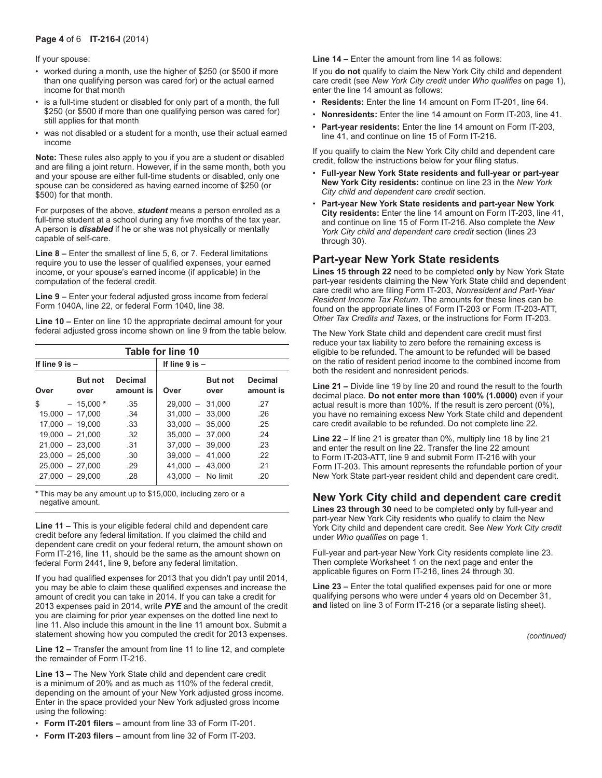### **Page 4** of 6 **IT-216-I** (2014)

If your spouse:

- worked during a month, use the higher of \$250 (or \$500 if more than one qualifying person was cared for) or the actual earned income for that month
- is a full-time student or disabled for only part of a month, the full \$250 (or \$500 if more than one qualifying person was cared for) still applies for that month
- was not disabled or a student for a month, use their actual earned income

**Note:** These rules also apply to you if you are a student or disabled and are filing a joint return. However, if in the same month, both you and your spouse are either full-time students or disabled, only one spouse can be considered as having earned income of \$250 (or \$500) for that month.

For purposes of the above, *student* means a person enrolled as a full-time student at a school during any five months of the tax year. A person is *disabled* if he or she was not physically or mentally capable of self-care.

**Line 8 –** Enter the smallest of line 5, 6, or 7. Federal limitations require you to use the lesser of qualified expenses, your earned income, or your spouse's earned income (if applicable) in the computation of the federal credit.

**Line 9 –** Enter your federal adjusted gross income from federal Form 1040A, line 22, or federal Form 1040, line 38.

**Line 10 –** Enter on line 10 the appropriate decimal amount for your federal adjusted gross income shown on line 9 from the table below.

| Table for line 10  |                        |                             |                     |                        |                             |  |  |  |  |  |  |
|--------------------|------------------------|-----------------------------|---------------------|------------------------|-----------------------------|--|--|--|--|--|--|
| If line $9$ is $-$ |                        |                             | If line $9$ is $-$  |                        |                             |  |  |  |  |  |  |
| Over               | <b>But not</b><br>over | <b>Decimal</b><br>amount is | Over                | <b>But not</b><br>over | <b>Decimal</b><br>amount is |  |  |  |  |  |  |
| \$                 | $-15,000*$             | .35                         | $29.000 - 31.000$   |                        | 27                          |  |  |  |  |  |  |
| $15.000 - 17.000$  |                        | .34                         | $31.000 - 33.000$   |                        | .26                         |  |  |  |  |  |  |
| $17.000 - 19.000$  |                        | .33                         | $33.000 - 35.000$   |                        | .25                         |  |  |  |  |  |  |
| $19.000 - 21.000$  |                        | .32                         | $35.000 - 37.000$   |                        | .24                         |  |  |  |  |  |  |
| $21.000 - 23.000$  |                        | .31                         | $37.000 - 39.000$   |                        | .23                         |  |  |  |  |  |  |
| $23.000 - 25.000$  |                        | .30                         | $39.000 - 41.000$   |                        | .22                         |  |  |  |  |  |  |
| $25.000 - 27.000$  |                        | .29                         | $41.000 - 43.000$   |                        | .21                         |  |  |  |  |  |  |
| $27.000 - 29.000$  |                        | .28                         | $43.000 - No limit$ |                        | .20                         |  |  |  |  |  |  |

**\*** This may be any amount up to \$15,000, including zero or a negative amount.

**Line 11 –** This is your eligible federal child and dependent care credit before any federal limitation. If you claimed the child and dependent care credit on your federal return, the amount shown on Form IT-216, line 11, should be the same as the amount shown on federal Form 2441, line 9, before any federal limitation.

If you had qualified expenses for 2013 that you didn't pay until 2014, you may be able to claim these qualified expenses and increase the amount of credit you can take in 2014. If you can take a credit for 2013 expenses paid in 2014, write *PYE* and the amount of the credit you are claiming for prior year expenses on the dotted line next to line 11. Also include this amount in the line 11 amount box. Submit a statement showing how you computed the credit for 2013 expenses.

**Line 12 –** Transfer the amount from line 11 to line 12, and complete the remainder of Form IT-216.

**Line 13 –** The New York State child and dependent care credit is a minimum of 20% and as much as 110% of the federal credit, depending on the amount of your New York adjusted gross income. Enter in the space provided your New York adjusted gross income using the following:

- **Form IT-201 filers –** amount from line 33 of Form IT-201.
- **Form IT-203 filers –** amount from line 32 of Form IT‑203.

**Line 14 –** Enter the amount from line 14 as follows:

If you **do not** qualify to claim the New York City child and dependent care credit (see *New York City credit* under *Who qualifies* on page 1), enter the line 14 amount as follows:

- **Residents:** Enter the line 14 amount on Form IT-201, line 64.
- **Nonresidents:** Enter the line 14 amount on Form IT-203, line 41.
- **Part-year residents:** Enter the line 14 amount on Form IT-203, line 41, and continue on line 15 of Form IT-216.

If you qualify to claim the New York City child and dependent care credit, follow the instructions below for your filing status.

- **Full-year New York State residents and full-year or part-year New York City residents:** continue on line 23 in the *New York City child and dependent care credit* section.
- **Part-year New York State residents and part-year New York City residents:** Enter the line 14 amount on Form IT-203, line 41, and continue on line 15 of Form IT-216. Also complete the *New York City child and dependent care credit* section (lines 23 through 30).

## **Part-year New York State residents**

**Lines 15 through 22** need to be completed **only** by New York State part-year residents claiming the New York State child and dependent care credit who are filing Form IT-203, *Nonresident and Part-Year Resident Income Tax Return*. The amounts for these lines can be found on the appropriate lines of Form IT-203 or Form IT‑203-ATT, *Other Tax Credits and Taxes*, or the instructions for Form IT-203.

The New York State child and dependent care credit must first reduce your tax liability to zero before the remaining excess is eligible to be refunded. The amount to be refunded will be based on the ratio of resident period income to the combined income from both the resident and nonresident periods.

**Line 21 –** Divide line 19 by line 20 and round the result to the fourth decimal place. **Do not enter more than 100% (1.0000)** even if your actual result is more than 100%. If the result is zero percent (0%), you have no remaining excess New York State child and dependent care credit available to be refunded. Do not complete line 22.

**Line 22 –** If line 21 is greater than 0%, multiply line 18 by line 21 and enter the result on line 22. Transfer the line 22 amount to Form IT‑203‑ATT, line 9 and submit Form IT‑216 with your Form IT-203. This amount represents the refundable portion of your New York State part-year resident child and dependent care credit.

# **New York City child and dependent care credit**

**Lines 23 through 30** need to be completed **only** by full-year and part-year New York City residents who qualify to claim the New York City child and dependent care credit. See *New York City credit* under *Who qualifies* on page 1.

Full-year and part-year New York City residents complete line 23. Then complete Worksheet 1 on the next page and enter the applicable figures on Form IT-216, lines 24 through 30.

**Line 23 –** Enter the total qualified expenses paid for one or more qualifying persons who were under 4 years old on December 31, **and** listed on line 3 of Form IT-216 (or a separate listing sheet).

*(continued)*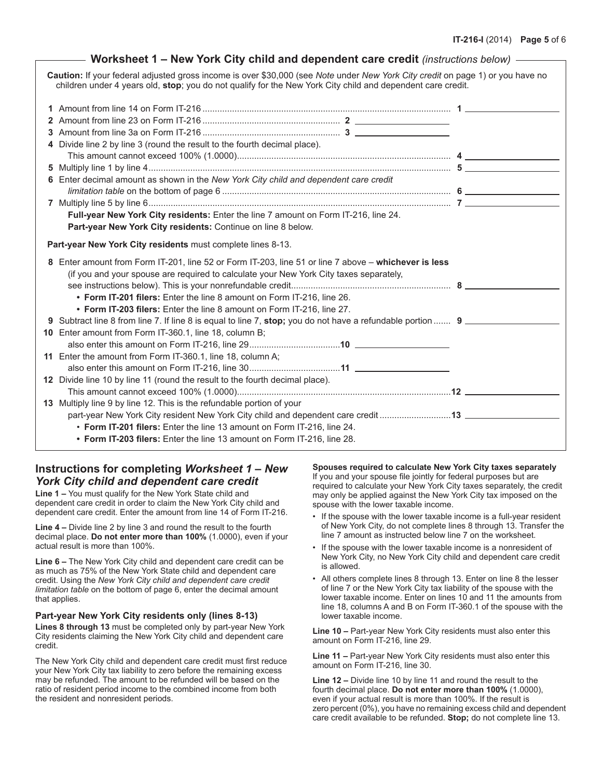| Worksheet 1 - New York City child and dependent care credit (instructions below) -                                                                                                                                                            |  |
|-----------------------------------------------------------------------------------------------------------------------------------------------------------------------------------------------------------------------------------------------|--|
| Caution: If your federal adjusted gross income is over \$30,000 (see Note under New York City credit on page 1) or you have no<br>children under 4 years old, stop; you do not qualify for the New York City child and dependent care credit. |  |
|                                                                                                                                                                                                                                               |  |
|                                                                                                                                                                                                                                               |  |
| 3                                                                                                                                                                                                                                             |  |
| 4 Divide line 2 by line 3 (round the result to the fourth decimal place).                                                                                                                                                                     |  |
|                                                                                                                                                                                                                                               |  |
|                                                                                                                                                                                                                                               |  |
| 6 Enter decimal amount as shown in the New York City child and dependent care credit                                                                                                                                                          |  |
|                                                                                                                                                                                                                                               |  |
|                                                                                                                                                                                                                                               |  |
| Full-year New York City residents: Enter the line 7 amount on Form IT-216, line 24.                                                                                                                                                           |  |
| Part-year New York City residents: Continue on line 8 below.                                                                                                                                                                                  |  |
| Part-year New York City residents must complete lines 8-13.                                                                                                                                                                                   |  |
| 8 Enter amount from Form IT-201, line 52 or Form IT-203, line 51 or line 7 above - whichever is less                                                                                                                                          |  |
| (if you and your spouse are required to calculate your New York City taxes separately,                                                                                                                                                        |  |
|                                                                                                                                                                                                                                               |  |
| • Form IT-201 filers: Enter the line 8 amount on Form IT-216, line 26.                                                                                                                                                                        |  |
| • Form IT-203 filers: Enter the line 8 amount on Form IT-216, line 27.                                                                                                                                                                        |  |
| 9 Subtract line 8 from line 7. If line 8 is equal to line 7, stop; you do not have a refundable portion  9                                                                                                                                    |  |
| 10 Enter amount from Form IT-360.1, line 18, column B;                                                                                                                                                                                        |  |
|                                                                                                                                                                                                                                               |  |
| 11 Enter the amount from Form IT-360.1, line 18, column A;                                                                                                                                                                                    |  |
|                                                                                                                                                                                                                                               |  |
| 12 Divide line 10 by line 11 (round the result to the fourth decimal place).                                                                                                                                                                  |  |
|                                                                                                                                                                                                                                               |  |
| 13 Multiply line 9 by line 12. This is the refundable portion of your                                                                                                                                                                         |  |
| part-year New York City resident New York City child and dependent care credit 13<br>• Form IT-201 filers: Enter the line 13 amount on Form IT-216, line 24.                                                                                  |  |
| • Form IT-203 filers: Enter the line 13 amount on Form IT-216, line 28.                                                                                                                                                                       |  |
|                                                                                                                                                                                                                                               |  |

# **Instructions for completing** *Worksheet 1 – New York City child and dependent care credit*

**Line 1 –** You must qualify for the New York State child and dependent care credit in order to claim the New York City child and dependent care credit. Enter the amount from line 14 of Form IT-216.

**Line 4 –** Divide line 2 by line 3 and round the result to the fourth decimal place. **Do not enter more than 100%** (1.0000), even if your actual result is more than 100%.

**Line 6 –** The New York City child and dependent care credit can be as much as 75% of the New York State child and dependent care credit. Using the *New York City child and dependent care credit limitation table* on the bottom of page 6, enter the decimal amount that applies.

## **Part-year New York City residents only (lines 8-13)**

**Lines 8 through 13** must be completed only by part-year New York City residents claiming the New York City child and dependent care credit.

The New York City child and dependent care credit must first reduce your New York City tax liability to zero before the remaining excess may be refunded. The amount to be refunded will be based on the ratio of resident period income to the combined income from both the resident and nonresident periods.

**Spouses required to calculate New York City taxes separately**  If you and your spouse file jointly for federal purposes but are required to calculate your New York City taxes separately, the credit may only be applied against the New York City tax imposed on the

- spouse with the lower taxable income. • If the spouse with the lower taxable income is a full-year resident of New York City, do not complete lines 8 through 13. Transfer the line 7 amount as instructed below line 7 on the worksheet.
- If the spouse with the lower taxable income is a nonresident of New York City, no New York City child and dependent care credit is allowed.
- All others complete lines 8 through 13. Enter on line 8 the lesser of line 7 or the New York City tax liability of the spouse with the lower taxable income. Enter on lines 10 and 11 the amounts from line 18, columns A and B on Form IT-360.1 of the spouse with the lower taxable income.

**Line 10 –** Part-year New York City residents must also enter this amount on Form IT-216, line 29.

**Line 11 –** Part-year New York City residents must also enter this amount on Form IT-216, line 30.

**Line 12 –** Divide line 10 by line 11 and round the result to the fourth decimal place. **Do not enter more than 100%** (1.0000), even if your actual result is more than 100%. If the result is zero percent (0%), you have no remaining excess child and dependent care credit available to be refunded. **Stop;** do not complete line 13.